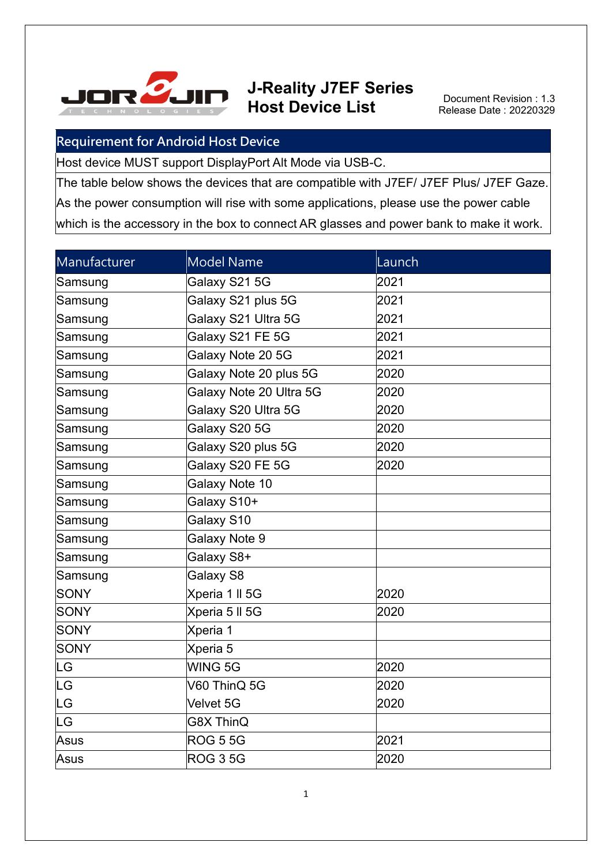

## **J-Reality J7EF Series Host Device List** Document Revision : 1.3

Release Date : 20220329

## **Requirement for Android Host Device**

Host device MUST support DisplayPort Alt Mode via USB-C.

The table below shows the devices that are compatible with J7EF/ J7EF Plus/ J7EF Gaze. As the power consumption will rise with some applications, please use the power cable which is the accessory in the box to connect AR glasses and power bank to make it work.

| Manufacturer | Model Name              | Launch |
|--------------|-------------------------|--------|
| Samsung      | Galaxy S21 5G           | 2021   |
| Samsung      | Galaxy S21 plus 5G      | 2021   |
| Samsung      | Galaxy S21 Ultra 5G     | 2021   |
| Samsung      | Galaxy S21 FE 5G        | 2021   |
| Samsung      | Galaxy Note 20 5G       | 2021   |
| Samsung      | Galaxy Note 20 plus 5G  | 2020   |
| Samsung      | Galaxy Note 20 Ultra 5G | 2020   |
| Samsung      | Galaxy S20 Ultra 5G     | 2020   |
| Samsung      | Galaxy S20 5G           | 2020   |
| Samsung      | Galaxy S20 plus 5G      | 2020   |
| Samsung      | Galaxy S20 FE 5G        | 2020   |
| Samsung      | Galaxy Note 10          |        |
| Samsung      | Galaxy S10+             |        |
| Samsung      | Galaxy S10              |        |
| Samsung      | Galaxy Note 9           |        |
| Samsung      | Galaxy S8+              |        |
| Samsung      | Galaxy S8               |        |
| <b>SONY</b>  | Xperia 1 II 5G          | 2020   |
| SONY         | Xperia 5 Il 5G          | 2020   |
| SONY         | Xperia 1                |        |
| SONY         | Xperia 5                |        |
| LG           | WING 5G                 | 2020   |
| <b>LG</b>    | V60 ThinQ 5G            | 2020   |
| LG           | Velvet 5G               | 2020   |
| LG           | <b>G8X ThinQ</b>        |        |
| Asus         | <b>ROG 5 5G</b>         | 2021   |
| <b>Asus</b>  | <b>ROG 3 5G</b>         | 2020   |